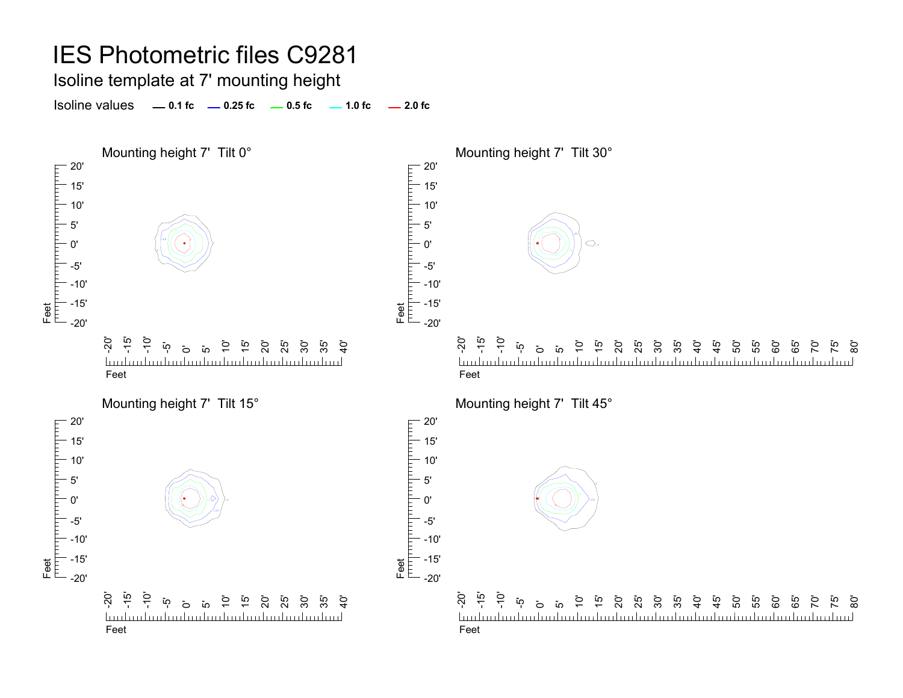Isoline template at 7' mounting height

**0.1 fc 0.25 fc 0.5 fc 2.0 fc**Isoline values $-1.0$  fc  $-2.0$  fc

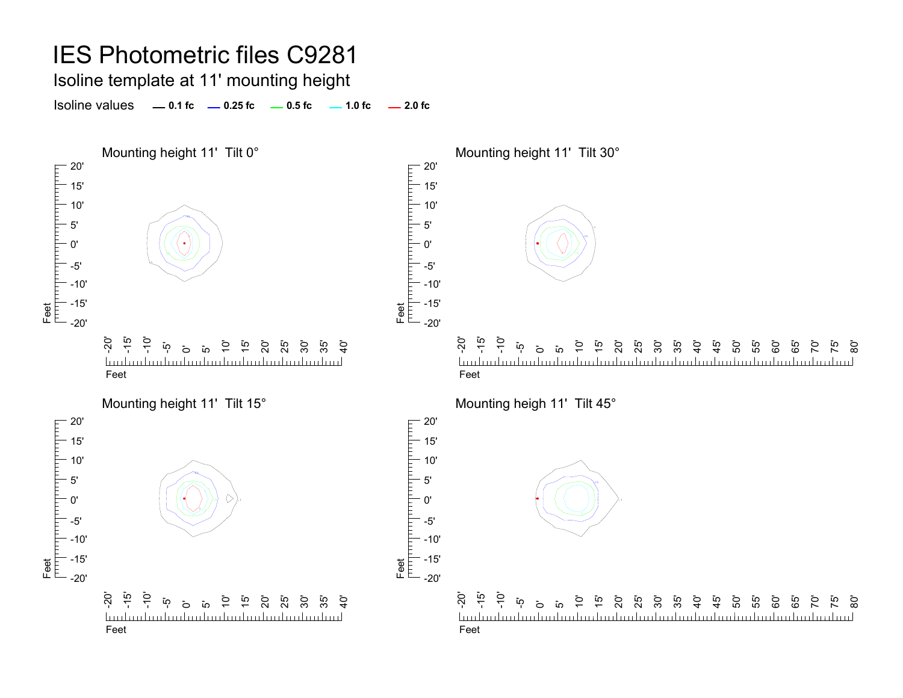Isoline template at 11' mounting height

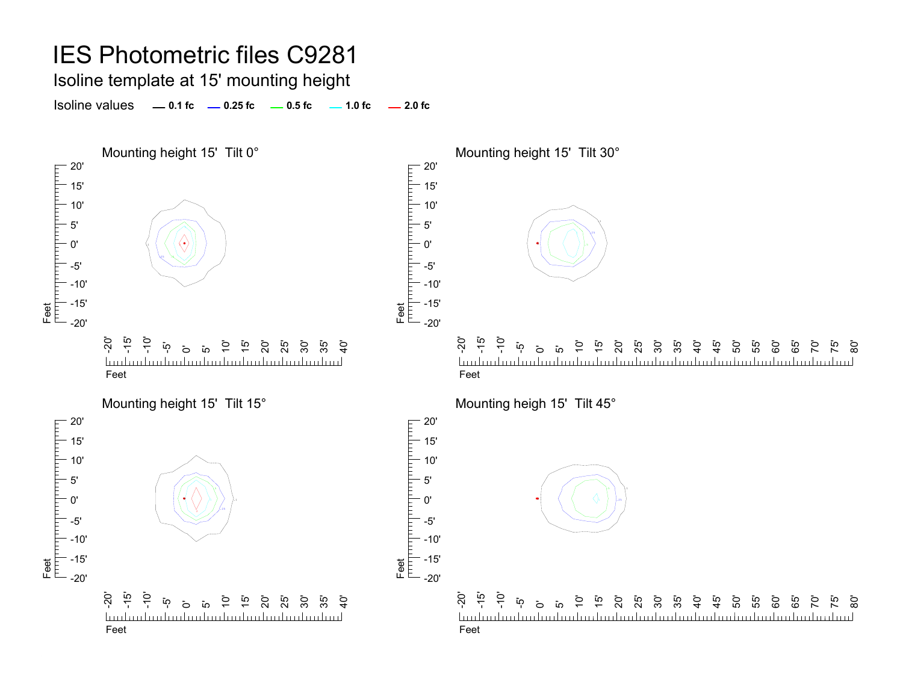Isoline template at 15' mounting height

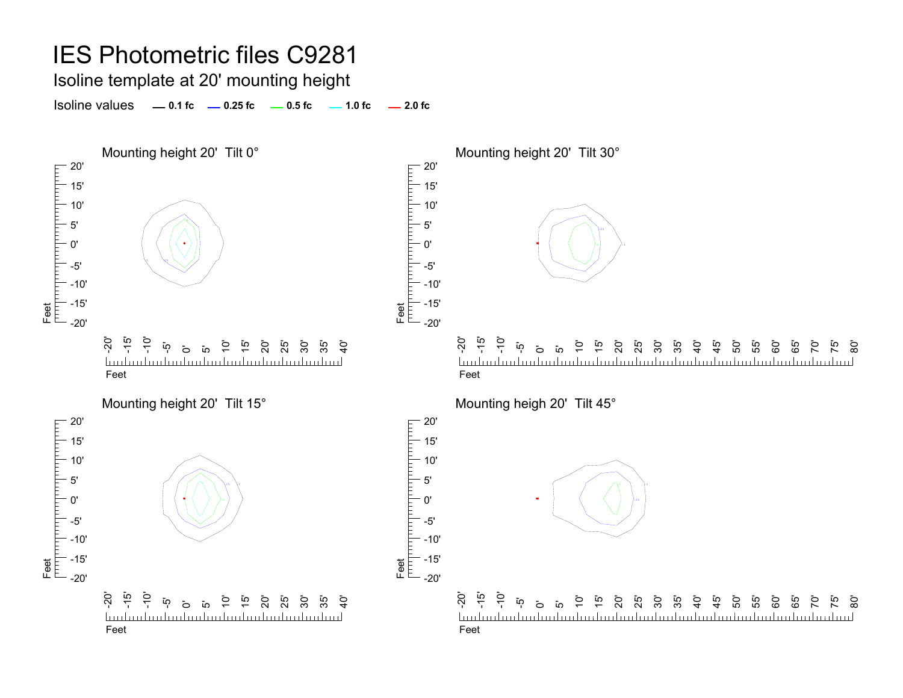Isoline template at 20' mounting height

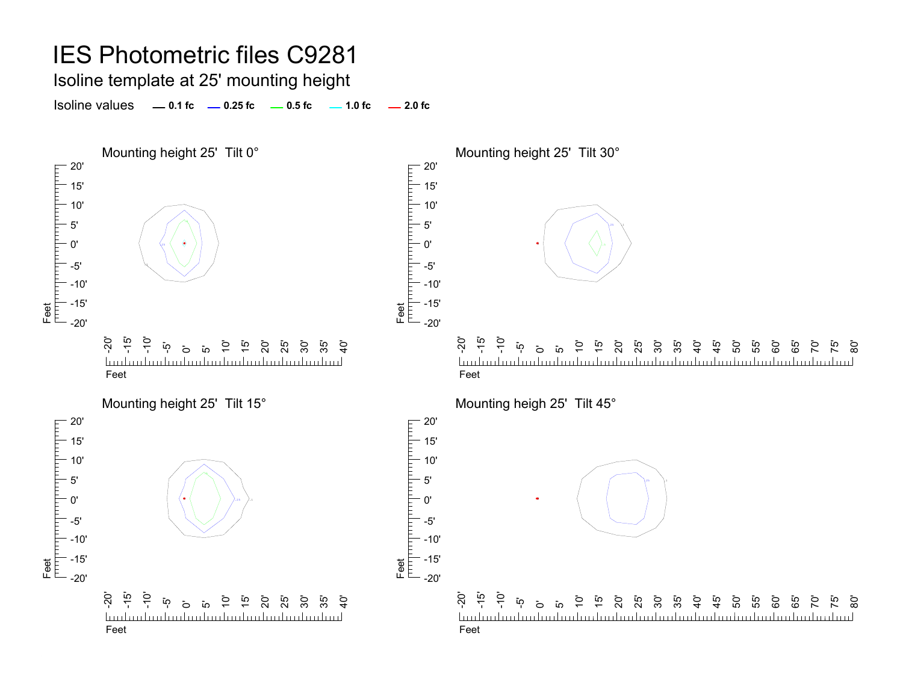Isoline template at 25' mounting height

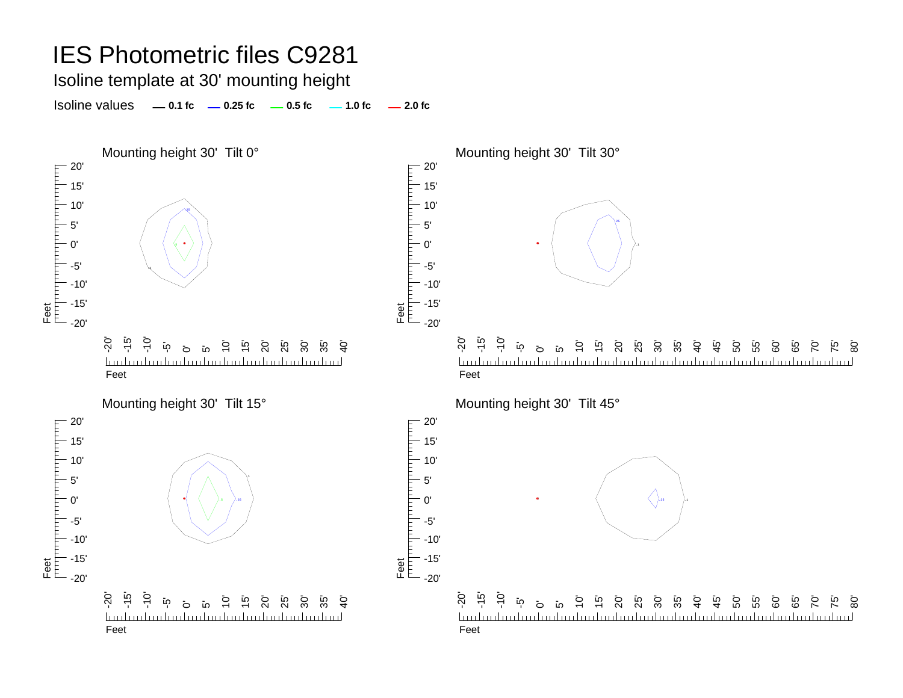Isoline template at 30' mounting height